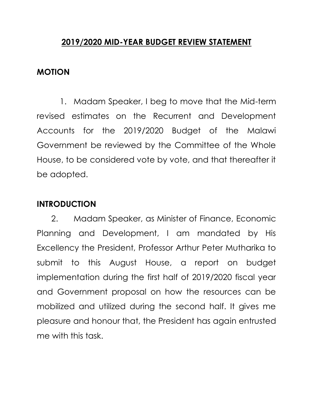## **2019/2020 MID-YEAR BUDGET REVIEW STATEMENT**

### **MOTION**

1. Madam Speaker, I beg to move that the Mid-term revised estimates on the Recurrent and Development Accounts for the 2019/2020 Budget of the Malawi Government be reviewed by the Committee of the Whole House, to be considered vote by vote, and that thereafter it be adopted.

## **INTRODUCTION**

2. Madam Speaker, as Minister of Finance, Economic Planning and Development, I am mandated by His Excellency the President, Professor Arthur Peter Mutharika to submit to this August House, a report on budget implementation during the first half of 2019/2020 fiscal year and Government proposal on how the resources can be mobilized and utilized during the second half. It gives me pleasure and honour that, the President has again entrusted me with this task.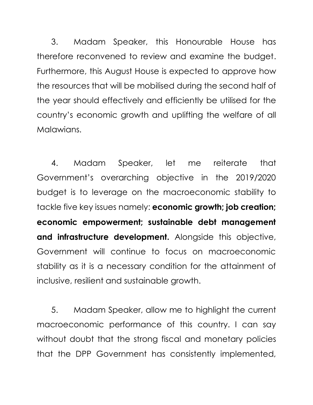3. Madam Speaker, this Honourable House has therefore reconvened to review and examine the budget. Furthermore, this August House is expected to approve how the resources that will be mobilised during the second half of the year should effectively and efficiently be utilised for the country's economic growth and uplifting the welfare of all Malawians.

4. Madam Speaker, let me reiterate that Government's overarching objective in the 2019/2020 budget is to leverage on the macroeconomic stability to tackle five key issues namely: **economic growth; job creation; economic empowerment; sustainable debt management and infrastructure development.** Alongside this objective, Government will continue to focus on macroeconomic stability as it is a necessary condition for the attainment of inclusive, resilient and sustainable growth.

5. Madam Speaker, allow me to highlight the current macroeconomic performance of this country. I can say without doubt that the strong fiscal and monetary policies that the DPP Government has consistently implemented,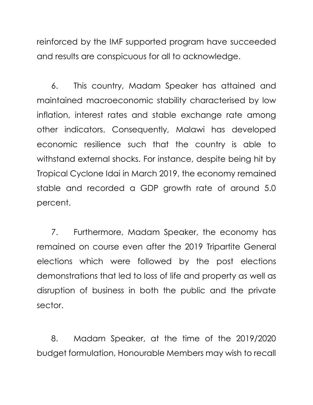reinforced by the IMF supported program have succeeded and results are conspicuous for all to acknowledge.

6. This country, Madam Speaker has attained and maintained macroeconomic stability characterised by low inflation, interest rates and stable exchange rate among other indicators. Consequently, Malawi has developed economic resilience such that the country is able to withstand external shocks. For instance, despite being hit by Tropical Cyclone Idai in March 2019, the economy remained stable and recorded a GDP growth rate of around 5.0 percent.

7. Furthermore, Madam Speaker, the economy has remained on course even after the 2019 Tripartite General elections which were followed by the post elections demonstrations that led to loss of life and property as well as disruption of business in both the public and the private sector.

8. Madam Speaker, at the time of the 2019/2020 budget formulation, Honourable Members may wish to recall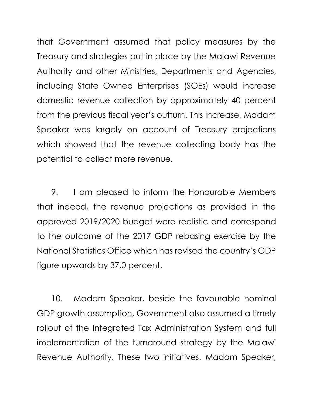that Government assumed that policy measures by the Treasury and strategies put in place by the Malawi Revenue Authority and other Ministries, Departments and Agencies, including State Owned Enterprises (SOEs) would increase domestic revenue collection by approximately 40 percent from the previous fiscal year's outturn. This increase, Madam Speaker was largely on account of Treasury projections which showed that the revenue collecting body has the potential to collect more revenue.

9. I am pleased to inform the Honourable Members that indeed, the revenue projections as provided in the approved 2019/2020 budget were realistic and correspond to the outcome of the 2017 GDP rebasing exercise by the National Statistics Office which has revised the country's GDP figure upwards by 37.0 percent.

10. Madam Speaker, beside the favourable nominal GDP growth assumption, Government also assumed a timely rollout of the Integrated Tax Administration System and full implementation of the turnaround strategy by the Malawi Revenue Authority. These two initiatives, Madam Speaker,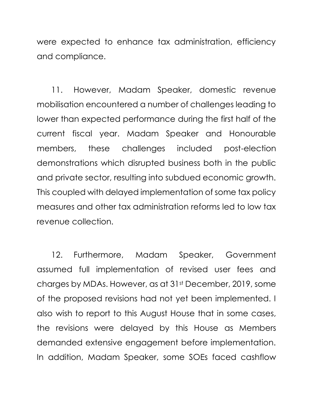were expected to enhance tax administration, efficiency and compliance.

11. However, Madam Speaker, domestic revenue mobilisation encountered a number of challenges leading to lower than expected performance during the first half of the current fiscal year. Madam Speaker and Honourable members, these challenges included post-election demonstrations which disrupted business both in the public and private sector, resulting into subdued economic growth. This coupled with delayed implementation of some tax policy measures and other tax administration reforms led to low tax revenue collection.

12. Furthermore, Madam Speaker, Government assumed full implementation of revised user fees and charges by MDAs. However, as at 31st December, 2019, some of the proposed revisions had not yet been implemented. I also wish to report to this August House that in some cases, the revisions were delayed by this House as Members demanded extensive engagement before implementation. In addition, Madam Speaker, some SOEs faced cashflow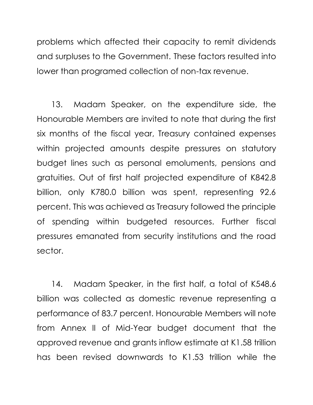problems which affected their capacity to remit dividends and surpluses to the Government. These factors resulted into lower than programed collection of non-tax revenue.

13. Madam Speaker, on the expenditure side, the Honourable Members are invited to note that during the first six months of the fiscal year, Treasury contained expenses within projected amounts despite pressures on statutory budget lines such as personal emoluments, pensions and gratuities. Out of first half projected expenditure of K842.8 billion, only K780.0 billion was spent, representing 92.6 percent. This was achieved as Treasury followed the principle of spending within budgeted resources. Further fiscal pressures emanated from security institutions and the road sector.

14. Madam Speaker, in the first half, a total of K548.6 billion was collected as domestic revenue representing a performance of 83.7 percent. Honourable Members will note from Annex II of Mid-Year budget document that the approved revenue and grants inflow estimate at K1.58 trillion has been revised downwards to K1.53 trillion while the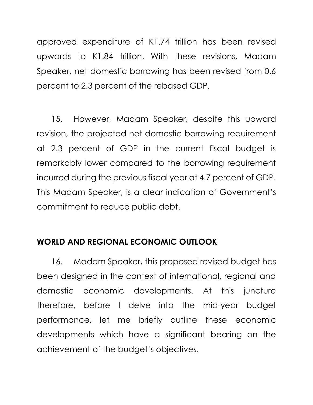approved expenditure of K1.74 trillion has been revised upwards to K1.84 trillion. With these revisions, Madam Speaker, net domestic borrowing has been revised from 0.6 percent to 2.3 percent of the rebased GDP.

15. However, Madam Speaker, despite this upward revision, the projected net domestic borrowing requirement at 2.3 percent of GDP in the current fiscal budget is remarkably lower compared to the borrowing requirement incurred during the previous fiscal year at 4.7 percent of GDP. This Madam Speaker, is a clear indication of Government's commitment to reduce public debt.

## **WORLD AND REGIONAL ECONOMIC OUTLOOK**

16. Madam Speaker, this proposed revised budget has been designed in the context of international, regional and domestic economic developments. At this juncture therefore, before I delve into the mid-year budget performance, let me briefly outline these economic developments which have a significant bearing on the achievement of the budget's objectives.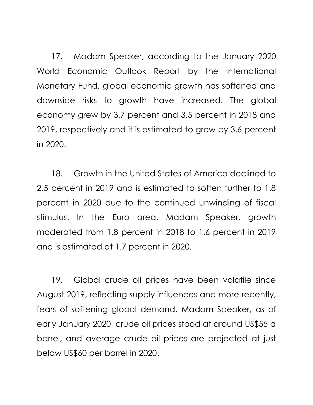17. Madam Speaker, according to the January 2020 World Economic Outlook Report by the International Monetary Fund, global economic growth has softened and downside risks to growth have increased. The global economy grew by 3.7 percent and 3.5 percent in 2018 and 2019, respectively and it is estimated to grow by 3.6 percent in 2020.

18. Growth in the United States of America declined to 2.5 percent in 2019 and is estimated to soften further to 1.8 percent in 2020 due to the continued unwinding of fiscal stimulus. In the Euro area, Madam Speaker, growth moderated from 1.8 percent in 2018 to 1.6 percent in 2019 and is estimated at 1.7 percent in 2020.

19. Global crude oil prices have been volatile since August 2019, reflecting supply influences and more recently, fears of softening global demand. Madam Speaker, as of early January 2020, crude oil prices stood at around US\$55 a barrel, and average crude oil prices are projected at just below US\$60 per barrel in 2020.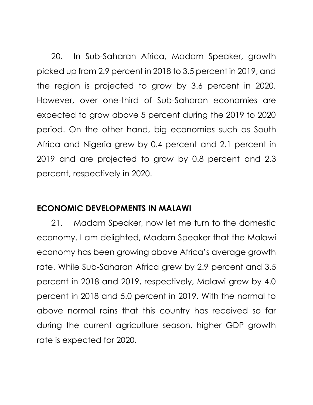20. In Sub-Saharan Africa, Madam Speaker, growth picked up from 2.9 percent in 2018 to 3.5 percent in 2019, and the region is projected to grow by 3.6 percent in 2020. However, over one-third of Sub-Saharan economies are expected to grow above 5 percent during the 2019 to 2020 period. On the other hand, big economies such as South Africa and Nigeria grew by 0.4 percent and 2.1 percent in 2019 and are projected to grow by 0.8 percent and 2.3 percent, respectively in 2020.

## **ECONOMIC DEVELOPMENTS IN MALAWI**

21. Madam Speaker, now let me turn to the domestic economy. I am delighted, Madam Speaker that the Malawi economy has been growing above Africa's average growth rate. While Sub-Saharan Africa grew by 2.9 percent and 3.5 percent in 2018 and 2019, respectively, Malawi grew by 4.0 percent in 2018 and 5.0 percent in 2019. With the normal to above normal rains that this country has received so far during the current agriculture season, higher GDP growth rate is expected for 2020.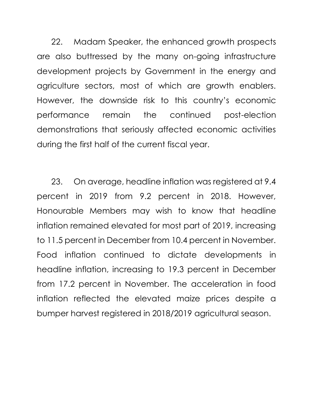22. Madam Speaker, the enhanced growth prospects are also buttressed by the many on-going infrastructure development projects by Government in the energy and agriculture sectors, most of which are growth enablers. However, the downside risk to this country's economic performance remain the continued post-election demonstrations that seriously affected economic activities during the first half of the current fiscal year.

23. On average, headline inflation was registered at 9.4 percent in 2019 from 9.2 percent in 2018. However, Honourable Members may wish to know that headline inflation remained elevated for most part of 2019, increasing to 11.5 percent in December from 10.4 percent in November. Food inflation continued to dictate developments in headline inflation, increasing to 19.3 percent in December from 17.2 percent in November. The acceleration in food inflation reflected the elevated maize prices despite a bumper harvest registered in 2018/2019 agricultural season.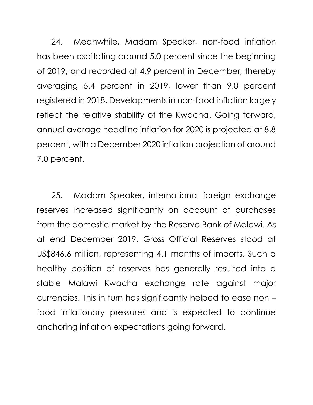24. Meanwhile, Madam Speaker, non-food inflation has been oscillating around 5.0 percent since the beginning of 2019, and recorded at 4.9 percent in December, thereby averaging 5.4 percent in 2019, lower than 9.0 percent registered in 2018. Developments in non-food inflation largely reflect the relative stability of the Kwacha. Going forward, annual average headline inflation for 2020 is projected at 8.8 percent, with a December 2020 inflation projection of around 7.0 percent.

25. Madam Speaker, international foreign exchange reserves increased significantly on account of purchases from the domestic market by the Reserve Bank of Malawi. As at end December 2019, Gross Official Reserves stood at US\$846.6 million, representing 4.1 months of imports. Such a healthy position of reserves has generally resulted into a stable Malawi Kwacha exchange rate against major currencies. This in turn has significantly helped to ease non – food inflationary pressures and is expected to continue anchoring inflation expectations going forward.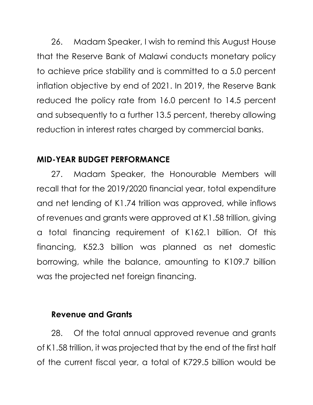26. Madam Speaker, I wish to remind this August House that the Reserve Bank of Malawi conducts monetary policy to achieve price stability and is committed to a 5.0 percent inflation objective by end of 2021. In 2019, the Reserve Bank reduced the policy rate from 16.0 percent to 14.5 percent and subsequently to a further 13.5 percent, thereby allowing reduction in interest rates charged by commercial banks.

## **MID-YEAR BUDGET PERFORMANCE**

27. Madam Speaker, the Honourable Members will recall that for the 2019/2020 financial year, total expenditure and net lending of K1.74 trillion was approved, while inflows of revenues and grants were approved at K1.58 trillion, giving a total financing requirement of K162.1 billion. Of this financing, K52.3 billion was planned as net domestic borrowing, while the balance, amounting to K109.7 billion was the projected net foreign financing.

## **Revenue and Grants**

28. Of the total annual approved revenue and grants of K1.58 trillion, it was projected that by the end of the first half of the current fiscal year, a total of K729.5 billion would be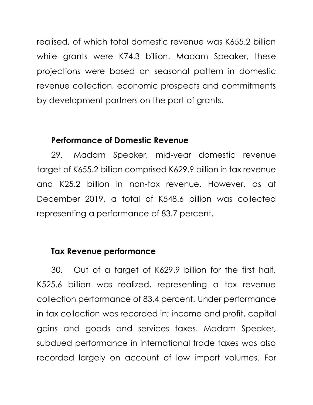realised, of which total domestic revenue was K655.2 billion while grants were K74.3 billion. Madam Speaker, these projections were based on seasonal pattern in domestic revenue collection, economic prospects and commitments by development partners on the part of grants.

#### **Performance of Domestic Revenue**

29. Madam Speaker, mid-year domestic revenue target of K655.2 billion comprised K629.9 billion in tax revenue and K25.2 billion in non-tax revenue. However, as at December 2019, a total of K548.6 billion was collected representing a performance of 83.7 percent.

## **Tax Revenue performance**

30. Out of a target of K629.9 billion for the first half, K525.6 billion was realized, representing a tax revenue collection performance of 83.4 percent. Under performance in tax collection was recorded in; income and profit, capital gains and goods and services taxes. Madam Speaker, subdued performance in international trade taxes was also recorded largely on account of low import volumes. For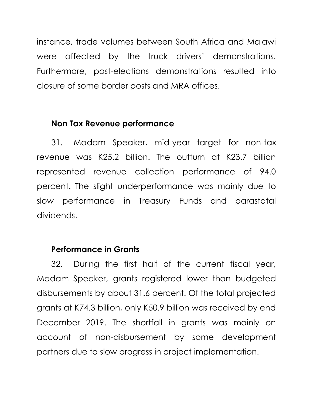instance, trade volumes between South Africa and Malawi were affected by the truck drivers' demonstrations. Furthermore, post-elections demonstrations resulted into closure of some border posts and MRA offices.

#### **Non Tax Revenue performance**

31. Madam Speaker, mid-year target for non-tax revenue was K25.2 billion. The outturn at K23.7 billion represented revenue collection performance of 94.0 percent. The slight underperformance was mainly due to slow performance in Treasury Funds and parastatal dividends.

## **Performance in Grants**

32. During the first half of the current fiscal year, Madam Speaker, grants registered lower than budgeted disbursements by about 31.6 percent. Of the total projected grants at K74.3 billion, only K50.9 billion was received by end December 2019. The shortfall in grants was mainly on account of non-disbursement by some development partners due to slow progress in project implementation.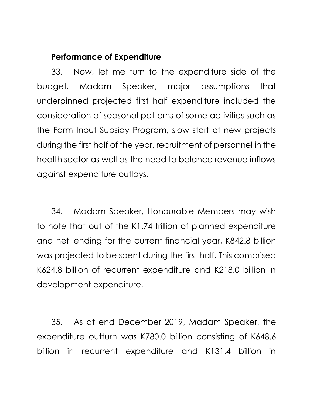## **Performance of Expenditure**

33. Now, let me turn to the expenditure side of the budget. Madam Speaker, major assumptions that underpinned projected first half expenditure included the consideration of seasonal patterns of some activities such as the Farm Input Subsidy Program, slow start of new projects during the first half of the year, recruitment of personnel in the health sector as well as the need to balance revenue inflows against expenditure outlays.

34. Madam Speaker, Honourable Members may wish to note that out of the K1.74 trillion of planned expenditure and net lending for the current financial year, K842.8 billion was projected to be spent during the first half. This comprised K624.8 billion of recurrent expenditure and K218.0 billion in development expenditure.

35. As at end December 2019, Madam Speaker, the expenditure outturn was K780.0 billion consisting of K648.6 billion in recurrent expenditure and K131.4 billion in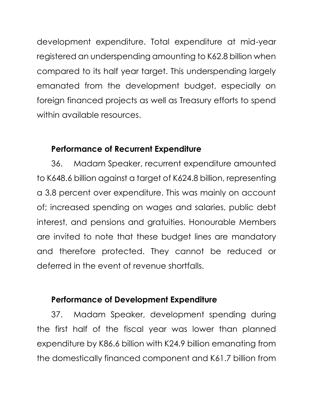development expenditure. Total expenditure at mid-year registered an underspending amounting to K62.8 billion when compared to its half year target. This underspending largely emanated from the development budget, especially on foreign financed projects as well as Treasury efforts to spend within available resources.

## **Performance of Recurrent Expenditure**

36. Madam Speaker, recurrent expenditure amounted to K648.6 billion against a target of K624.8 billion, representing a 3.8 percent over expenditure. This was mainly on account of; increased spending on wages and salaries, public debt interest, and pensions and gratuities. Honourable Members are invited to note that these budget lines are mandatory and therefore protected. They cannot be reduced or deferred in the event of revenue shortfalls.

## **Performance of Development Expenditure**

37. Madam Speaker, development spending during the first half of the fiscal year was lower than planned expenditure by K86.6 billion with K24.9 billion emanating from the domestically financed component and K61.7 billion from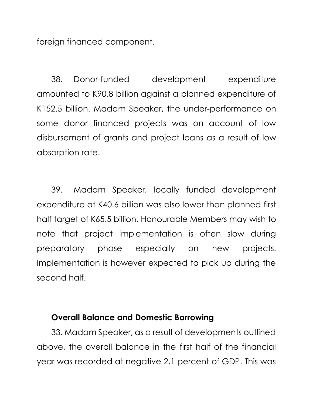foreign financed component.

38. Donor-funded development expenditure amounted to K90.8 billion against a planned expenditure of K152.5 billion. Madam Speaker, the under-performance on some donor financed projects was on account of low disbursement of grants and project loans as a result of low absorption rate.

39. Madam Speaker, locally funded development expenditure at K40.6 billion was also lower than planned first half target of K65.5 billion. Honourable Members may wish to note that project implementation is often slow during preparatory phase especially on new projects. Implementation is however expected to pick up during the second half.

#### **Overall Balance and Domestic Borrowing**

33. Madam Speaker, as a result of developments outlined above, the overall balance in the first half of the financial year was recorded at negative 2.1 percent of GDP. This was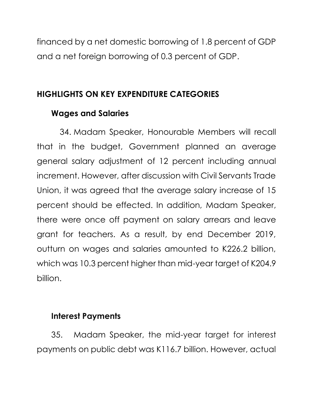financed by a net domestic borrowing of 1.8 percent of GDP and a net foreign borrowing of 0.3 percent of GDP.

## **HIGHLIGHTS ON KEY EXPENDITURE CATEGORIES**

## **Wages and Salaries**

34. Madam Speaker, Honourable Members will recall that in the budget, Government planned an average general salary adjustment of 12 percent including annual increment. However, after discussion with Civil Servants Trade Union, it was agreed that the average salary increase of 15 percent should be effected. In addition, Madam Speaker, there were once off payment on salary arrears and leave grant for teachers. As a result, by end December 2019, outturn on wages and salaries amounted to K226.2 billion, which was 10.3 percent higher than mid-year target of K204.9 billion.

## **Interest Payments**

35. Madam Speaker, the mid-year target for interest payments on public debt was K116.7 billion. However, actual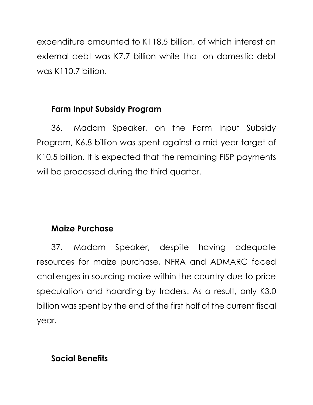expenditure amounted to K118.5 billion, of which interest on external debt was K7.7 billion while that on domestic debt was K110.7 billion.

# **Farm Input Subsidy Program**

36. Madam Speaker, on the Farm Input Subsidy Program, K6.8 billion was spent against a mid-year target of K10.5 billion. It is expected that the remaining FISP payments will be processed during the third quarter.

# **Maize Purchase**

37. Madam Speaker, despite having adequate resources for maize purchase, NFRA and ADMARC faced challenges in sourcing maize within the country due to price speculation and hoarding by traders. As a result, only K3.0 billion was spent by the end of the first half of the current fiscal year.

# **Social Benefits**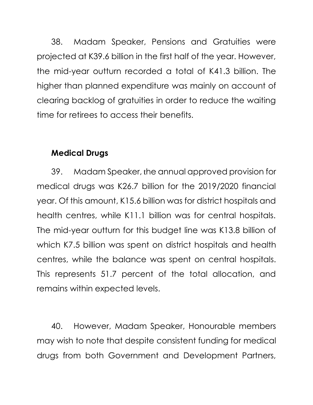38. Madam Speaker, Pensions and Gratuities were projected at K39.6 billion in the first half of the year. However, the mid-year outturn recorded a total of K41.3 billion. The higher than planned expenditure was mainly on account of clearing backlog of gratuities in order to reduce the waiting time for retirees to access their benefits.

## **Medical Drugs**

39. Madam Speaker, the annual approved provision for medical drugs was K26.7 billion for the 2019/2020 financial year. Of this amount, K15.6 billion was for district hospitals and health centres, while K11.1 billion was for central hospitals. The mid-year outturn for this budget line was K13.8 billion of which K7.5 billion was spent on district hospitals and health centres, while the balance was spent on central hospitals. This represents 51.7 percent of the total allocation, and remains within expected levels.

40. However, Madam Speaker, Honourable members may wish to note that despite consistent funding for medical drugs from both Government and Development Partners,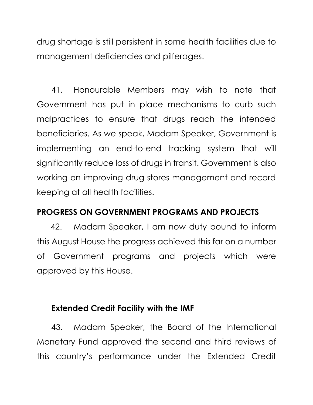drug shortage is still persistent in some health facilities due to management deficiencies and pilferages.

41. Honourable Members may wish to note that Government has put in place mechanisms to curb such malpractices to ensure that drugs reach the intended beneficiaries. As we speak, Madam Speaker, Government is implementing an end-to-end tracking system that will significantly reduce loss of drugs in transit. Government is also working on improving drug stores management and record keeping at all health facilities.

## **PROGRESS ON GOVERNMENT PROGRAMS AND PROJECTS**

42. Madam Speaker, I am now duty bound to inform this August House the progress achieved this far on a number of Government programs and projects which were approved by this House.

#### **Extended Credit Facility with the IMF**

43. Madam Speaker, the Board of the International Monetary Fund approved the second and third reviews of this country's performance under the Extended Credit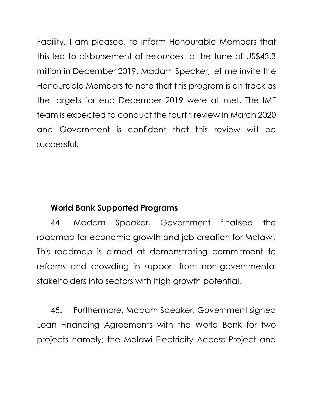Facility. I am pleased, to inform Honourable Members that this led to disbursement of resources to the tune of US\$43.3 million in December 2019. Madam Speaker, let me invite the Honourable Members to note that this program is on track as the targets for end December 2019 were all met. The IMF team is expected to conduct the fourth review in March 2020 and Government is confident that this review will be successful.

## **World Bank Supported Programs**

44. Madam Speaker, Government finalised the roadmap for economic growth and job creation for Malawi. This roadmap is aimed at demonstrating commitment to reforms and crowding in support from non-governmental stakeholders into sectors with high growth potential.

45. Furthermore, Madam Speaker, Government signed Loan Financing Agreements with the World Bank for two projects namely; the Malawi Electricity Access Project and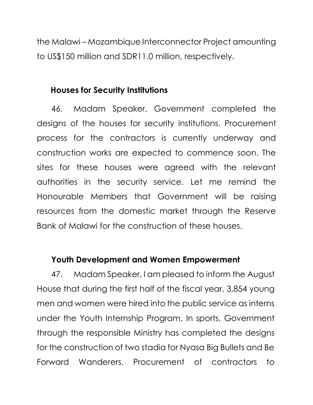the Malawi – Mozambique Interconnector Project amounting to US\$150 million and SDR11.0 million, respectively.

#### **Houses for Security Institutions**

46. Madam Speaker, Government completed the designs of the houses for security institutions. Procurement process for the contractors is currently underway and construction works are expected to commence soon. The sites for these houses were agreed with the relevant authorities in the security service. Let me remind the Honourable Members that Government will be raising resources from the domestic market through the Reserve Bank of Malawi for the construction of these houses.

## **Youth Development and Women Empowerment**

47. Madam Speaker, I am pleased to inform the August House that during the first half of the fiscal year, 3,854 young men and women were hired into the public service as interns under the Youth Internship Program. In sports, Government through the responsible Ministry has completed the designs for the construction of two stadia for Nyasa Big Bullets and Be Forward Wanderers. Procurement of contractors to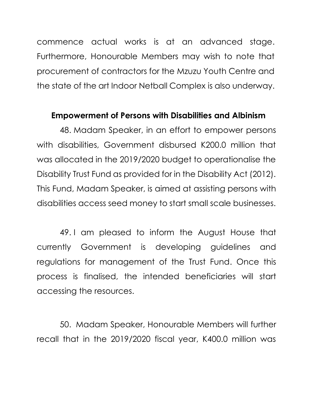commence actual works is at an advanced stage. Furthermore, Honourable Members may wish to note that procurement of contractors for the Mzuzu Youth Centre and the state of the art Indoor Netball Complex is also underway.

#### **Empowerment of Persons with Disabilities and Albinism**

48. Madam Speaker, in an effort to empower persons with disabilities, Government disbursed K200.0 million that was allocated in the 2019/2020 budget to operationalise the Disability Trust Fund as provided for in the Disability Act (2012). This Fund, Madam Speaker, is aimed at assisting persons with disabilities access seed money to start small scale businesses.

49. I am pleased to inform the August House that currently Government is developing guidelines and regulations for management of the Trust Fund. Once this process is finalised, the intended beneficiaries will start accessing the resources.

50. Madam Speaker, Honourable Members will further recall that in the 2019/2020 fiscal year, K400.0 million was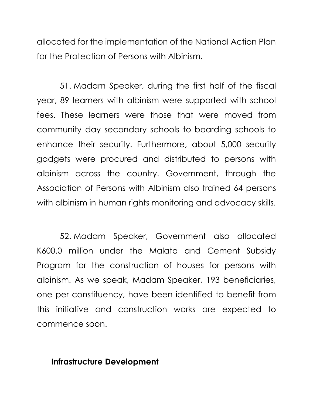allocated for the implementation of the National Action Plan for the Protection of Persons with Albinism.

51. Madam Speaker, during the first half of the fiscal year, 89 learners with albinism were supported with school fees. These learners were those that were moved from community day secondary schools to boarding schools to enhance their security. Furthermore, about 5,000 security gadgets were procured and distributed to persons with albinism across the country. Government, through the Association of Persons with Albinism also trained 64 persons with albinism in human rights monitoring and advocacy skills.

52. Madam Speaker, Government also allocated K600.0 million under the Malata and Cement Subsidy Program for the construction of houses for persons with albinism. As we speak, Madam Speaker, 193 beneficiaries, one per constituency, have been identified to benefit from this initiative and construction works are expected to commence soon.

#### **Infrastructure Development**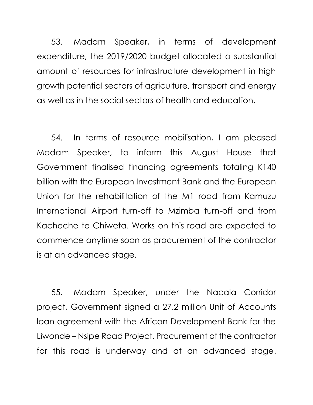53. Madam Speaker, in terms of development expenditure, the 2019/2020 budget allocated a substantial amount of resources for infrastructure development in high growth potential sectors of agriculture, transport and energy as well as in the social sectors of health and education.

54. In terms of resource mobilisation, I am pleased Madam Speaker, to inform this August House that Government finalised financing agreements totaling K140 billion with the European Investment Bank and the European Union for the rehabilitation of the M1 road from Kamuzu International Airport turn-off to Mzimba turn-off and from Kacheche to Chiweta. Works on this road are expected to commence anytime soon as procurement of the contractor is at an advanced stage.

55. Madam Speaker, under the Nacala Corridor project, Government signed a 27.2 million Unit of Accounts loan agreement with the African Development Bank for the Liwonde – Nsipe Road Project. Procurement of the contractor for this road is underway and at an advanced stage.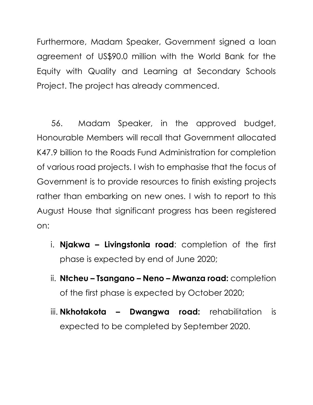Furthermore, Madam Speaker, Government signed a loan agreement of US\$90.0 million with the World Bank for the Equity with Quality and Learning at Secondary Schools Project. The project has already commenced.

56. Madam Speaker, in the approved budget, Honourable Members will recall that Government allocated K47.9 billion to the Roads Fund Administration for completion of various road projects. I wish to emphasise that the focus of Government is to provide resources to finish existing projects rather than embarking on new ones. I wish to report to this August House that significant progress has been registered on:

- i. **Njakwa – Livingstonia road**: completion of the first phase is expected by end of June 2020;
- ii. **Ntcheu – Tsangano – Neno – Mwanza road:** completion of the first phase is expected by October 2020;
- iii. **Nkhotakota – Dwangwa road:** rehabilitation is expected to be completed by September 2020.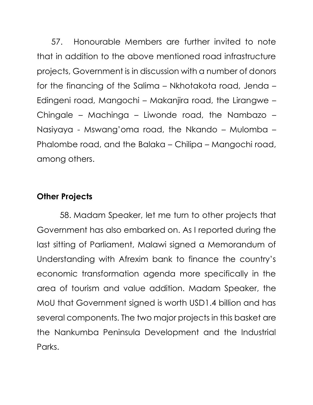57. Honourable Members are further invited to note that in addition to the above mentioned road infrastructure projects, Government is in discussion with a number of donors for the financing of the Salima – Nkhotakota road, Jenda – Edingeni road, Mangochi – Makanjira road, the Lirangwe – Chingale – Machinga – Liwonde road, the Nambazo – Nasiyaya - Mswang'oma road, the Nkando – Mulomba – Phalombe road, and the Balaka – Chilipa – Mangochi road, among others.

## **Other Projects**

58. Madam Speaker, let me turn to other projects that Government has also embarked on. As I reported during the last sitting of Parliament, Malawi signed a Memorandum of Understanding with Afrexim bank to finance the country's economic transformation agenda more specifically in the area of tourism and value addition. Madam Speaker, the MoU that Government signed is worth USD1.4 billion and has several components. The two major projects in this basket are the Nankumba Peninsula Development and the Industrial Parks.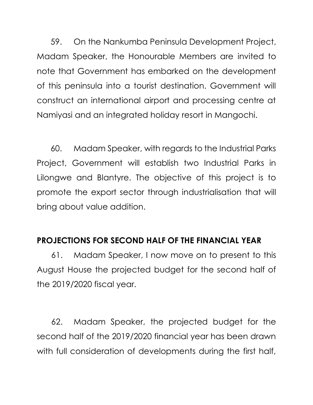59. On the Nankumba Peninsula Development Project, Madam Speaker, the Honourable Members are invited to note that Government has embarked on the development of this peninsula into a tourist destination. Government will construct an international airport and processing centre at Namiyasi and an integrated holiday resort in Mangochi.

60. Madam Speaker, with regards to the Industrial Parks Project, Government will establish two Industrial Parks in Lilongwe and Blantyre. The objective of this project is to promote the export sector through industrialisation that will bring about value addition.

## **PROJECTIONS FOR SECOND HALF OF THE FINANCIAL YEAR**

61. Madam Speaker, I now move on to present to this August House the projected budget for the second half of the 2019/2020 fiscal year.

62. Madam Speaker, the projected budget for the second half of the 2019/2020 financial year has been drawn with full consideration of developments during the first half,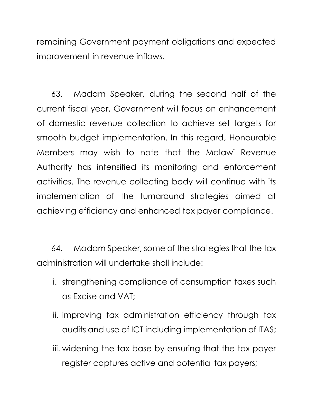remaining Government payment obligations and expected improvement in revenue inflows.

63. Madam Speaker, during the second half of the current fiscal year, Government will focus on enhancement of domestic revenue collection to achieve set targets for smooth budget implementation. In this regard, Honourable Members may wish to note that the Malawi Revenue Authority has intensified its monitoring and enforcement activities. The revenue collecting body will continue with its implementation of the turnaround strategies aimed at achieving efficiency and enhanced tax payer compliance.

64. Madam Speaker, some of the strategies that the tax administration will undertake shall include:

- i. strengthening compliance of consumption taxes such as Excise and VAT;
- ii. improving tax administration efficiency through tax audits and use of ICT including implementation of ITAS;
- iii. widening the tax base by ensuring that the tax payer register captures active and potential tax payers;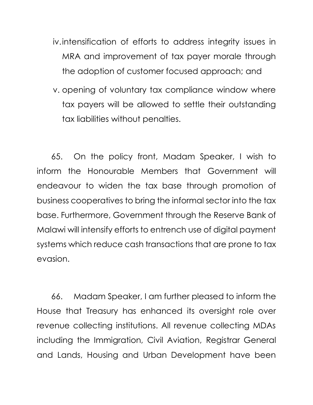- iv.intensification of efforts to address integrity issues in MRA and improvement of tax payer morale through the adoption of customer focused approach; and
- v. opening of voluntary tax compliance window where tax payers will be allowed to settle their outstanding tax liabilities without penalties.

65. On the policy front, Madam Speaker, I wish to inform the Honourable Members that Government will endeavour to widen the tax base through promotion of business cooperatives to bring the informal sector into the tax base. Furthermore, Government through the Reserve Bank of Malawi will intensify efforts to entrench use of digital payment systems which reduce cash transactions that are prone to tax evasion.

66. Madam Speaker, I am further pleased to inform the House that Treasury has enhanced its oversight role over revenue collecting institutions. All revenue collecting MDAs including the Immigration, Civil Aviation, Registrar General and Lands, Housing and Urban Development have been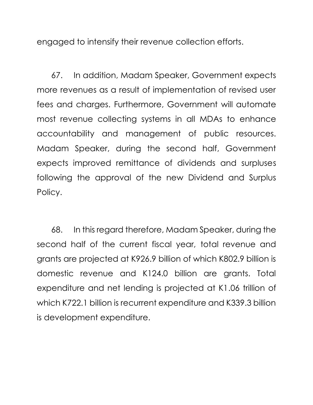engaged to intensify their revenue collection efforts.

67. In addition, Madam Speaker, Government expects more revenues as a result of implementation of revised user fees and charges. Furthermore, Government will automate most revenue collecting systems in all MDAs to enhance accountability and management of public resources. Madam Speaker, during the second half, Government expects improved remittance of dividends and surpluses following the approval of the new Dividend and Surplus Policy.

68. In this regard therefore, Madam Speaker, during the second half of the current fiscal year, total revenue and grants are projected at K926.9 billion of which K802.9 billion is domestic revenue and K124.0 billion are grants. Total expenditure and net lending is projected at K1.06 trillion of which K722.1 billion is recurrent expenditure and K339.3 billion is development expenditure.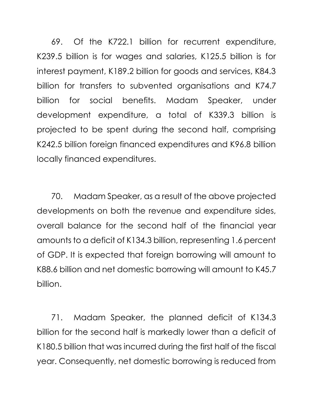69. Of the K722.1 billion for recurrent expenditure, K239.5 billion is for wages and salaries, K125.5 billion is for interest payment, K189.2 billion for goods and services, K84.3 billion for transfers to subvented organisations and K74.7 billion for social benefits. Madam Speaker, under development expenditure, a total of K339.3 billion is projected to be spent during the second half, comprising K242.5 billion foreign financed expenditures and K96.8 billion locally financed expenditures.

70. Madam Speaker, as a result of the above projected developments on both the revenue and expenditure sides, overall balance for the second half of the financial year amounts to a deficit of K134.3 billion, representing 1.6 percent of GDP. It is expected that foreign borrowing will amount to K88.6 billion and net domestic borrowing will amount to K45.7 billion.

71. Madam Speaker, the planned deficit of K134.3 billion for the second half is markedly lower than a deficit of K180.5 billion that was incurred during the first half of the fiscal year. Consequently, net domestic borrowing is reduced from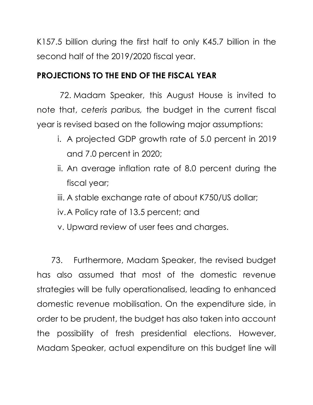K157.5 billion during the first half to only K45.7 billion in the second half of the 2019/2020 fiscal year.

## **PROJECTIONS TO THE END OF THE FISCAL YEAR**

72. Madam Speaker, this August House is invited to note that, *ceteris paribus,* the budget in the current fiscal year is revised based on the following major assumptions:

- i. A projected GDP growth rate of 5.0 percent in 2019 and 7.0 percent in 2020;
- ii. An average inflation rate of 8.0 percent during the fiscal year;
- iii. A stable exchange rate of about K750/US dollar;
- iv.A Policy rate of 13.5 percent; and
- v. Upward review of user fees and charges.

73. Furthermore, Madam Speaker, the revised budget has also assumed that most of the domestic revenue strategies will be fully operationalised, leading to enhanced domestic revenue mobilisation. On the expenditure side, in order to be prudent, the budget has also taken into account the possibility of fresh presidential elections. However, Madam Speaker, actual expenditure on this budget line will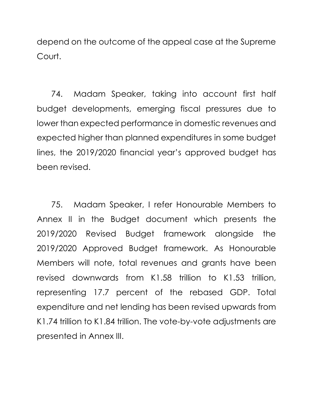depend on the outcome of the appeal case at the Supreme Court.

74. Madam Speaker, taking into account first half budget developments, emerging fiscal pressures due to lower than expected performance in domestic revenues and expected higher than planned expenditures in some budget lines, the 2019/2020 financial year's approved budget has been revised.

75. Madam Speaker, I refer Honourable Members to Annex II in the Budget document which presents the 2019/2020 Revised Budget framework alongside the 2019/2020 Approved Budget framework. As Honourable Members will note, total revenues and grants have been revised downwards from K1.58 trillion to K1.53 trillion, representing 17.7 percent of the rebased GDP. Total expenditure and net lending has been revised upwards from K1.74 trillion to K1.84 trillion. The vote-by-vote adjustments are presented in Annex III.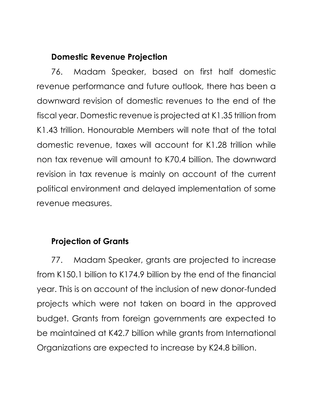## **Domestic Revenue Projection**

76. Madam Speaker, based on first half domestic revenue performance and future outlook, there has been a downward revision of domestic revenues to the end of the fiscal year. Domestic revenue is projected at K1.35 trillion from K1.43 trillion. Honourable Members will note that of the total domestic revenue, taxes will account for K1.28 trillion while non tax revenue will amount to K70.4 billion. The downward revision in tax revenue is mainly on account of the current political environment and delayed implementation of some revenue measures.

## **Projection of Grants**

77. Madam Speaker, grants are projected to increase from K150.1 billion to K174.9 billion by the end of the financial year. This is on account of the inclusion of new donor-funded projects which were not taken on board in the approved budget. Grants from foreign governments are expected to be maintained at K42.7 billion while grants from International Organizations are expected to increase by K24.8 billion.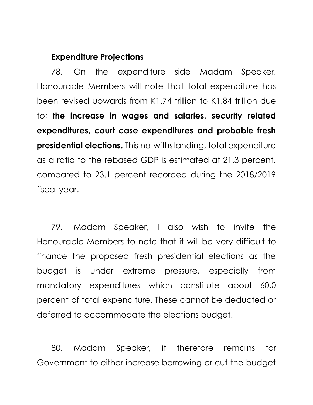#### **Expenditure Projections**

78. On the expenditure side Madam Speaker, Honourable Members will note that total expenditure has been revised upwards from K1.74 trillion to K1.84 trillion due to; **the increase in wages and salaries, security related expenditures, court case expenditures and probable fresh presidential elections.** This notwithstanding, total expenditure as a ratio to the rebased GDP is estimated at 21.3 percent, compared to 23.1 percent recorded during the 2018/2019 fiscal year.

79. Madam Speaker, I also wish to invite the Honourable Members to note that it will be very difficult to finance the proposed fresh presidential elections as the budget is under extreme pressure, especially from mandatory expenditures which constitute about 60.0 percent of total expenditure. These cannot be deducted or deferred to accommodate the elections budget.

80. Madam Speaker, it therefore remains for Government to either increase borrowing or cut the budget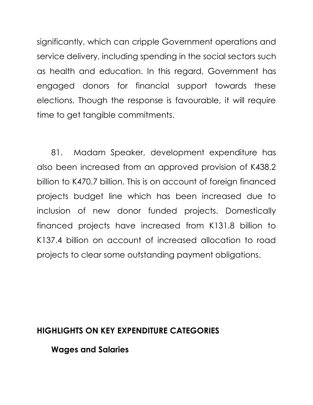significantly, which can cripple Government operations and service delivery, including spending in the social sectors such as health and education. In this regard, Government has engaged donors for financial support towards these elections. Though the response is favourable, it will require time to get tangible commitments.

81. Madam Speaker, development expenditure has also been increased from an approved provision of K438.2 billion to K470.7 billion. This is on account of foreign financed projects budget line which has been increased due to inclusion of new donor funded projects. Domestically financed projects have increased from K131.8 billion to K137.4 billion on account of increased allocation to road projects to clear some outstanding payment obligations.

## **HIGHLIGHTS ON KEY EXPENDITURE CATEGORIES**

**Wages and Salaries**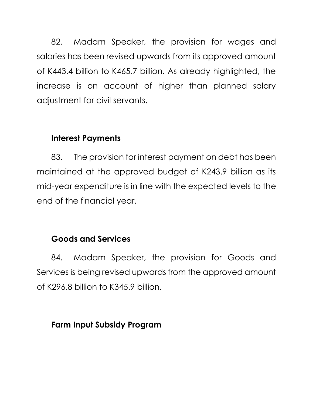82. Madam Speaker, the provision for wages and salaries has been revised upwards from its approved amount of K443.4 billion to K465.7 billion. As already highlighted, the increase is on account of higher than planned salary adjustment for civil servants.

## **Interest Payments**

83. The provision for interest payment on debt has been maintained at the approved budget of K243.9 billion as its mid-year expenditure is in line with the expected levels to the end of the financial year.

# **Goods and Services**

84. Madam Speaker, the provision for Goods and Services is being revised upwards from the approved amount of K296.8 billion to K345.9 billion.

## **Farm Input Subsidy Program**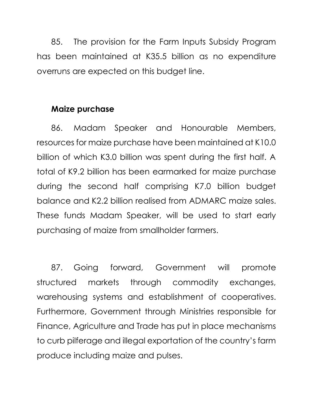85. The provision for the Farm Inputs Subsidy Program has been maintained at K35.5 billion as no expenditure overruns are expected on this budget line.

#### **Maize purchase**

86. Madam Speaker and Honourable Members, resources for maize purchase have been maintained at K10.0 billion of which K3.0 billion was spent during the first half. A total of K9.2 billion has been earmarked for maize purchase during the second half comprising K7.0 billion budget balance and K2.2 billion realised from ADMARC maize sales. These funds Madam Speaker, will be used to start early purchasing of maize from smallholder farmers.

87. Going forward, Government will promote structured markets through commodity exchanges, warehousing systems and establishment of cooperatives. Furthermore, Government through Ministries responsible for Finance, Agriculture and Trade has put in place mechanisms to curb pilferage and illegal exportation of the country's farm produce including maize and pulses.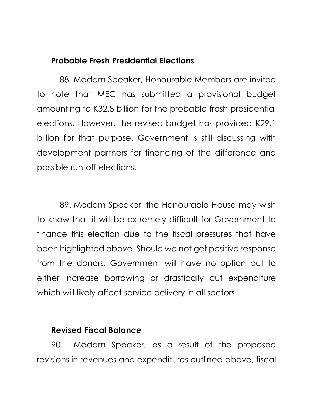#### **Probable Fresh Presidential Elections**

88. Madam Speaker, Honourable Members are invited to note that MEC has submitted a provisional budget amounting to K32.8 billion for the probable fresh presidential elections. However, the revised budget has provided K29.1 billion for that purpose. Government is still discussing with development partners for financing of the difference and possible run-off elections.

89. Madam Speaker, the Honourable House may wish to know that it will be extremely difficult for Government to finance this election due to the fiscal pressures that have been highlighted above. Should we not get positive response from the donors, Government will have no option but to either increase borrowing or drastically cut expenditure which will likely affect service delivery in all sectors.

## **Revised Fiscal Balance**

90. Madam Speaker, as a result of the proposed revisions in revenues and expenditures outlined above, fiscal